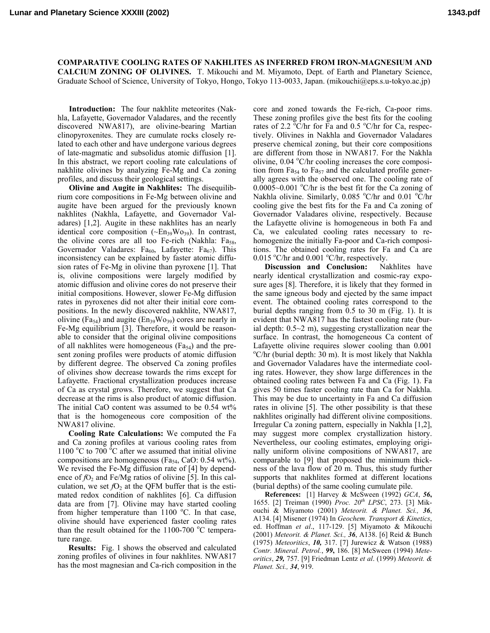**COMPARATIVE COOLING RATES OF NAKHLITES AS INFERRED FROM IRON-MAGNESIUM AND CALCIUM ZONING OF OLIVINES.** T. Mikouchi and M. Miyamoto, Dept. of Earth and Planetary Science, Graduate School of Science, University of Tokyo, Hongo, Tokyo 113-0033, Japan. (mikouchi@eps.s.u-tokyo.ac.jp)

**Introduction:** The four nakhlite meteorites (Nakhla, Lafayette, Governador Valadares, and the recently discovered NWA817), are olivine-bearing Martian clinopyroxenites. They are cumulate rocks closely related to each other and have undergone various degrees of late-magmatic and subsolidus atomic diffusion [1]. In this abstract, we report cooling rate calculations of nakhlite olivines by analyzing Fe-Mg and Ca zoning profiles, and discuss their geological settings.

**Olivine and Augite in Nakhlites:** The disequilibrium core compositions in Fe-Mg between olivine and augite have been argued for the previously known nakhlites (Nakhla, Lafayette, and Governador Valadares) [1,2]. Augite in these nakhlites has an nearly identical core composition  $(\sim En_{39}Wo_{39})$ . In contrast, the olivine cores are all too Fe-rich (Nakhla:  $Fa_{58}$ , Governador Valadares:  $Fa_{60}$ , Lafayette:  $Fa_{67}$ ). This inconsistency can be explained by faster atomic diffusion rates of Fe-Mg in olivine than pyroxene [1]. That is, olivine compositions were largely modified by atomic diffusion and olivine cores do not preserve their initial compositions. However, slower Fe-Mg diffusion rates in pyroxenes did not alter their initial core compositions. In the newly discovered nakhlite, NWA817, olivine (Fa<sub>54</sub>) and augite (En<sub>39</sub>Wo<sub>39</sub>) cores are nearly in Fe-Mg equilibrium [3]. Therefore, it would be reasonable to consider that the original olivine compositions of all nakhlites were homogeneous ( $Fa_{54}$ ) and the present zoning profiles were products of atomic diffusion by different degree. The observed Ca zoning profiles of olivines show decrease towards the rims except for Lafayette. Fractional crystallization produces increase of Ca as crystal grows. Therefore, we suggest that Ca decrease at the rims is also product of atomic diffusion. The initial CaO content was assumed to be 0.54 wt% that is the homogeneous core composition of the NWA817 olivine.

**Cooling Rate Calculations:** We computed the Fa and Ca zoning profiles at various cooling rates from 1100  $^{\circ}$ C to 700  $^{\circ}$ C after we assumed that initial olivine compositions are homogeneous ( $Fa_{54}$ , CaO: 0.54 wt%). We revised the Fe-Mg diffusion rate of [4] by dependence of  $fO_2$  and Fe/Mg ratios of olivine [5]. In this calculation, we set  $fO_2$  at the QFM buffer that is the estimated redox condition of nakhlites [6]. Ca diffusion data are from [7]. Olivine may have started cooling from higher temperature than  $1100$  °C. In that case, olivine should have experienced faster cooling rates than the result obtained for the  $1100-700$  °C temperature range.

**Results:** Fig. 1 shows the observed and calculated zoning profiles of olivines in four nakhlites. NWA817 has the most magnesian and Ca-rich composition in the core and zoned towards the Fe-rich, Ca-poor rims. These zoning profiles give the best fits for the cooling rates of 2.2  $\degree$ C/hr for Fa and 0.5  $\degree$ C/hr for Ca, respectively. Olivines in Nakhla and Governador Valadares preserve chemical zoning, but their core compositions are different from those in NWA817. For the Nakhla olivine, 0.04 °C/hr cooling increases the core composition from  $Fa_{54}$  to  $Fa_{57}$  and the calculated profile generally agrees with the observed one. The cooling rate of  $0.0005~0.001$  °C/hr is the best fit for the Ca zoning of Nakhla olivine. Similarly, 0.085 °C/hr and 0.01 °C/hr cooling give the best fits for the Fa and Ca zoning of Governador Valadares olivine, respectively. Because the Lafayette olivine is homogeneous in both Fa and Ca, we calculated cooling rates necessary to rehomogenize the initially Fa-poor and Ca-rich compositions. The obtained cooling rates for Fa and Ca are  $0.015$  °C/hr and  $0.001$  °C/hr, respectively.

**Discussion and Conclusion:** Nakhlites have nearly identical crystallization and cosmic-ray exposure ages [8]. Therefore, it is likely that they formed in the same igneous body and ejected by the same impact event. The obtained cooling rates correspond to the burial depths ranging from 0.5 to 30 m (Fig. 1). It is evident that NWA817 has the fastest cooling rate (burial depth: 0.5~2 m), suggesting crystallization near the surface. In contrast, the homogeneous Ca content of Lafayette olivine requires slower cooling than 0.001 <sup>o</sup>C/hr (burial depth: 30 m). It is most likely that Nakhla and Governador Valadares have the intermediate cooling rates. However, they show large differences in the obtained cooling rates between Fa and Ca (Fig. 1). Fa gives 50 times faster cooling rate than Ca for Nakhla. This may be due to uncertainty in Fa and Ca diffusion rates in olivine [5]. The other possibility is that these nakhlites originally had different olivine compositions. Irregular Ca zoning pattern, especially in Nakhla [1,2], may suggest more complex crystallization history. Nevertheless, our cooling estimates, employing originally uniform olivine compositions of NWA817, are comparable to [9] that proposed the minimum thickness of the lava flow of 20 m. Thus, this study further supports that nakhlites formed at different locations (burial depths) of the same cooling cumulate pile.

**References:** [1] Harvey & McSween (1992) *GCA*, *56***,** 1655. [2] Treiman (1990) *Proc. 20th LPSC*, 273. [3] Mikouchi & Miyamoto (2001) *Meteorit. & Planet. Sci., 36*, A134. [4] Misener (1974) In *Geochem. Transport & Kinetics*, ed. Hoffman *et al*., 117-129. [5] Miyamoto & Mikouchi (2001) *Meteorit. & Planet. Sci., 36*, A138. [6] Reid & Bunch (1975) *Meteoritics*, *10,* 317. [7] Jurewicz & Watson (1988) *Contr. Mineral. Petrol.*, *99***,** 186. [8] McSween (1994) *Meteoritics*, *29,* 757. [9] Friedman Lentz *et al*. (1999) *Meteorit. & Planet. Sci., 34*, 919.